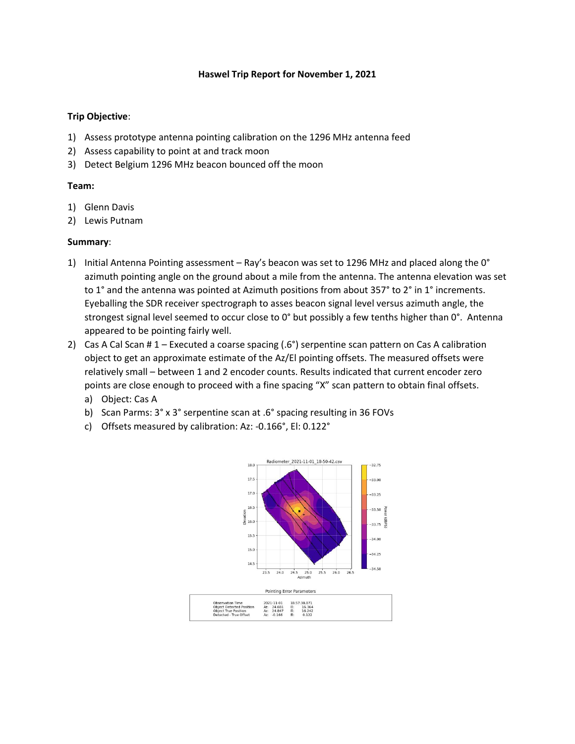## **Haswel Trip Report for November 1, 2021**

## **Trip Objective**:

- 1) Assess prototype antenna pointing calibration on the 1296 MHz antenna feed
- 2) Assess capability to point at and track moon
- 3) Detect Belgium 1296 MHz beacon bounced off the moon

## **Team:**

- 1) Glenn Davis
- 2) Lewis Putnam

## **Summary**:

- 1) Initial Antenna Pointing assessment Ray's beacon was set to 1296 MHz and placed along the 0° azimuth pointing angle on the ground about a mile from the antenna. The antenna elevation was set to 1° and the antenna was pointed at Azimuth positions from about 357° to 2° in 1° increments. Eyeballing the SDR receiver spectrograph to asses beacon signal level versus azimuth angle, the strongest signal level seemed to occur close to 0° but possibly a few tenths higher than 0°. Antenna appeared to be pointing fairly well.
- 2) Cas A Cal Scan # 1 Executed a coarse spacing (.6°) serpentine scan pattern on Cas A calibration object to get an approximate estimate of the Az/El pointing offsets. The measured offsets were relatively small – between 1 and 2 encoder counts. Results indicated that current encoder zero points are close enough to proceed with a fine spacing "X" scan pattern to obtain final offsets.
	- a) Object: Cas A
	- b) Scan Parms: 3° x 3° serpentine scan at .6° spacing resulting in 36 FOVs
	- c) Offsets measured by calibration: Az: -0.166°, El: 0.122°

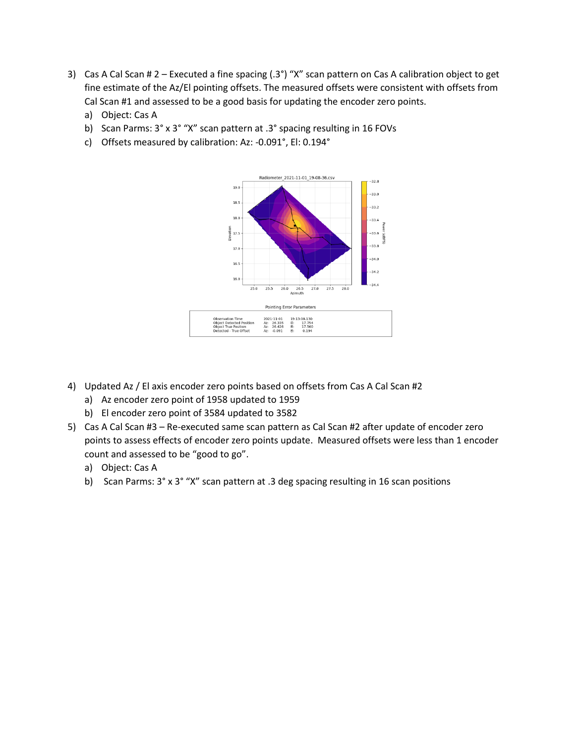- 3) Cas A Cal Scan # 2 Executed a fine spacing (.3°) "X" scan pattern on Cas A calibration object to get fine estimate of the Az/El pointing offsets. The measured offsets were consistent with offsets from Cal Scan #1 and assessed to be a good basis for updating the encoder zero points.
	- a) Object: Cas A
	- b) Scan Parms: 3° x 3° "X" scan pattern at .3° spacing resulting in 16 FOVs
	- c) Offsets measured by calibration: Az: -0.091°, El: 0.194°



- 4) Updated Az / El axis encoder zero points based on offsets from Cas A Cal Scan #2
	- a) Az encoder zero point of 1958 updated to 1959
	- b) El encoder zero point of 3584 updated to 3582
- 5) Cas A Cal Scan #3 Re-executed same scan pattern as Cal Scan #2 after update of encoder zero points to assess effects of encoder zero points update. Measured offsets were less than 1 encoder count and assessed to be "good to go".
	- a) Object: Cas A
	- b) Scan Parms: 3° x 3° "X" scan pattern at .3 deg spacing resulting in 16 scan positions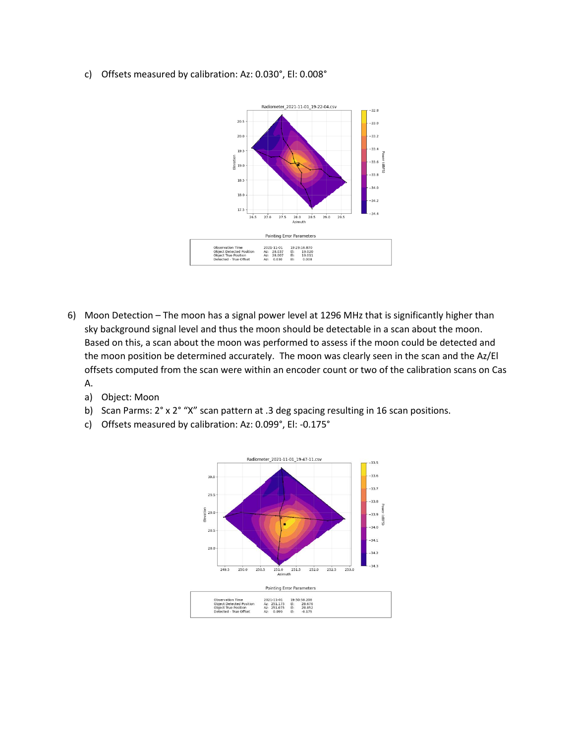c) Offsets measured by calibration: Az: 0.030°, El: 0.008°



- 6) Moon Detection The moon has a signal power level at 1296 MHz that is significantly higher than sky background signal level and thus the moon should be detectable in a scan about the moon. Based on this, a scan about the moon was performed to assess if the moon could be detected and the moon position be determined accurately. The moon was clearly seen in the scan and the Az/El offsets computed from the scan were within an encoder count or two of the calibration scans on Cas A.
	- a) Object: Moon
	- b) Scan Parms: 2° x 2° "X" scan pattern at .3 deg spacing resulting in 16 scan positions.
	- c) Offsets measured by calibration: Az: 0.099°, El: -0.175°

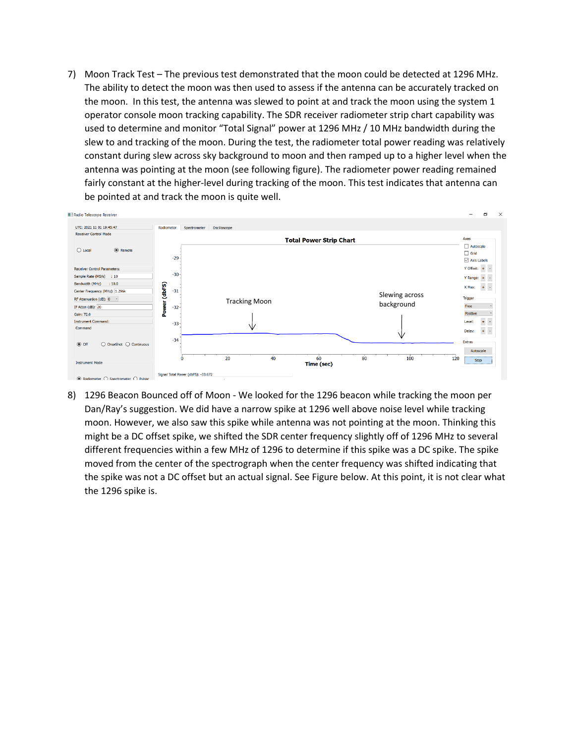7) Moon Track Test – The previous test demonstrated that the moon could be detected at 1296 MHz. The ability to detect the moon was then used to assess if the antenna can be accurately tracked on the moon. In this test, the antenna was slewed to point at and track the moon using the system 1 operator console moon tracking capability. The SDR receiver radiometer strip chart capability was used to determine and monitor "Total Signal" power at 1296 MHz / 10 MHz bandwidth during the slew to and tracking of the moon. During the test, the radiometer total power reading was relatively constant during slew across sky background to moon and then ramped up to a higher level when the antenna was pointing at the moon (see following figure). The radiometer power reading remained fairly constant at the higher-level during tracking of the moon. This test indicates that antenna can be pointed at and track the moon is quite well.



8) 1296 Beacon Bounced off of Moon - We looked for the 1296 beacon while tracking the moon per Dan/Ray's suggestion. We did have a narrow spike at 1296 well above noise level while tracking moon. However, we also saw this spike while antenna was not pointing at the moon. Thinking this might be a DC offset spike, we shifted the SDR center frequency slightly off of 1296 MHz to several different frequencies within a few MHz of 1296 to determine if this spike was a DC spike. The spike moved from the center of the spectrograph when the center frequency was shifted indicating that the spike was not a DC offset but an actual signal. See Figure below. At this point, it is not clear what the 1296 spike is.